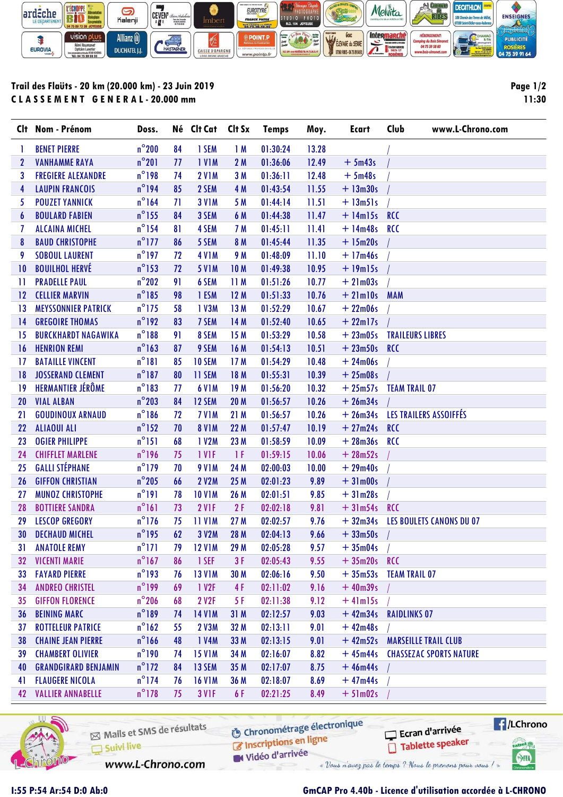

## Trail des Flaüts - 20 km (20.000 km) - 23 Juin 2019 C L A S S E M E N T G E N E R A L - 20.000 mm

Page 1/2 11:30

|                 | Clt Nom - Prénom            | Doss.           |    | Né Clt Cat Clt Sx |                 | <b>Temps</b> | Moy.  | Ecart          | Club<br>www.L-Chrono.com        |
|-----------------|-----------------------------|-----------------|----|-------------------|-----------------|--------------|-------|----------------|---------------------------------|
| 1               | <b>BENET PIERRE</b>         | $n^{\circ}$ 200 | 84 | 1 SEM             | 1M              | 01:30:24     | 13.28 |                |                                 |
| $\mathbf{2}$    | <b>VANHAMME RAYA</b>        | $n^{\circ}201$  | 77 | <b>IVIM</b>       | 2M              | 01:36:06     | 12.49 | $+5m43s$       |                                 |
| 3               | <b>FREGIERE ALEXANDRE</b>   | $n^{\circ}$ 198 | 74 | <b>2 V1M</b>      | 3M              | 01:36:11     | 12.48 | $+5m48s$       |                                 |
| 4               | <b>LAUPIN FRANCOIS</b>      | $n^{\circ}$ 194 | 85 | 2 SEM             | 4 M             | 01:43:54     | 11.55 | $+ 13m30s$     |                                 |
| 5               | <b>POUZET YANNICK</b>       | $n^{\circ}$ 164 | 71 | <b>3 V1M</b>      | 5 M             | 01:44:14     | 11.51 | $+ 13m51s$     |                                 |
| 6               | <b>BOULARD FABIEN</b>       | $n^{\circ}$ 155 | 84 | 3 SEM             | 6 M             | 01:44:38     | 11.47 | $+$ 14m15s RCC |                                 |
| 7               | <b>ALCAINA MICHEL</b>       | $n^{\circ}$ 154 | 81 | 4 SEM             | 7 M             | 01:45:11     | 11.41 | $+ 14m48s$     | <b>RCC</b>                      |
| 8               | <b>BAUD CHRISTOPHE</b>      | $n^{\circ}$ 177 | 86 | 5 SEM             | 8 M             | 01:45:44     | 11.35 | $+ 15m20s$     |                                 |
| 9               | <b>SOBOUL LAURENT</b>       | $n^{\circ}$ 197 | 72 | <b>4 V1 M</b>     | 9 M             | 01:48:09     | 11.10 | $+17m46s$      |                                 |
| 10              | <b>BOUILHOL HERVÉ</b>       | $n^{\circ}$ 153 | 72 | <b>5 V1M</b>      | <b>10M</b>      | 01:49:38     | 10.95 | $+19m15s$      |                                 |
| 11              | <b>PRADELLE PAUL</b>        | $n^{\circ}$ 202 | 91 | 6 SEM             | 11M             | 01:51:26     | 10.77 | $+21m03s$      |                                 |
| 12              | <b>CELLIER MARVIN</b>       | $n^{\circ}$ 185 | 98 | 1 ESM             | 12M             | 01:51:33     | 10.76 | $+21$ m $10s$  | <b>MAM</b>                      |
| 13              | <b>MEYSSONNIER PATRICK</b>  | $n^{\circ}$ 175 | 58 | 1 V3M             | 13 M            | 01:52:29     | 10.67 | $+22m06s$      |                                 |
| 14              | <b>GREGOIRE THOMAS</b>      | $n^{\circ}$ 192 | 83 | 7 SEM             | 14 M            | 01:52:40     | 10.65 | $+22$ ml7s     |                                 |
| 15              | <b>BURCKHARDT NAGAWIKA</b>  | $n^{\circ}188$  | 91 | 8 SEM             | 15M             | 01:53:29     | 10.58 | $+23m05s$      | <b>TRAILEURS LIBRES</b>         |
| 16              | <b>HENRION REMI</b>         | $n^{\circ}$ 163 | 87 | 9 SEM             | 16 M            | 01:54:13     | 10.51 | $+23m50s$      | <b>RCC</b>                      |
| 17              | <b>BATAILLE VINCENT</b>     | $n^{\circ}181$  | 85 | 10 SEM            | 17 <sub>M</sub> | 01:54:29     | 10.48 | $+24m06s$      |                                 |
| 18              | <b>JOSSERAND CLEMENT</b>    | $n^{\circ}$ 187 | 80 | 11 SEM            | 18 M            | 01:55:31     | 10.39 | $+25m08s$      |                                 |
| 19              | HERMANTIER JÉRÔME           | $n^{\circ}183$  | 77 | <b>6 V1M</b>      | 19M             | 01:56:20     | 10.32 | $+25m57s$      | <b>TEAM TRAIL 07</b>            |
| 20              | <b>VIAL ALBAN</b>           | $n^{\circ}$ 203 | 84 | 12 SEM            | <b>20 M</b>     | 01:56:57     | 10.26 | $+26m34s$      |                                 |
| 21              | <b>GOUDINOUX ARNAUD</b>     | $n^{\circ}186$  | 72 | <b>7 V1M</b>      | 21M             | 01:56:57     | 10.26 |                | + 26m34s LES TRAILERS ASSOIFFÉS |
| 22              | <b>ALIAOUI ALI</b>          | $n^{\circ}$ 152 | 70 | <b>8 V1M</b>      | 22 M            | 01:57:47     | 10.19 | $+27m24s$ RCC  |                                 |
| 23              | <b>OGIER PHILIPPE</b>       | $n^{\circ}$ 151 | 68 | 1 V2M             | 23 M            | 01:58:59     | 10.09 | $+28m36s$      | <b>RCC</b>                      |
| 24              | <b>CHIFFLET MARLENE</b>     | $n^{\circ}$ 196 | 75 | <b>IVIF</b>       | 1 F             | 01:59:15     | 10.06 | $+28m52s$      |                                 |
| 25              | <b>GALLI STÉPHANE</b>       | $n^{\circ}$ 179 | 70 | <b>9 V1M</b>      | 24 M            | 02:00:03     | 10.00 | $+29m40s$      |                                 |
| 26              | <b>GIFFON CHRISTIAN</b>     | $n^{\circ}$ 205 | 66 | <b>2 V2M</b>      | 25 M            | 02:01:23     | 9.89  | $+31m00s$      |                                 |
| 27              | <b>MUNOZ CHRISTOPHE</b>     | $n^{\circ}191$  | 78 | <b>10 V1M</b>     | 26 M            | 02:01:51     | 9.85  | $+31m28s$      |                                 |
| 28              | <b>BOTTIERE SANDRA</b>      | $n^{\circ}161$  | 73 | 2 VIF             | 2F              | 02:02:18     | 9.81  | $+31m54s$ RCC  |                                 |
| 29              | <b>LESCOP GREGORY</b>       | $n^{\circ}$ 176 | 75 | <b>11 V1M</b>     | 27 M            | 02:02:57     | 9.76  | $+32m34s$      | <b>LES BOULETS CANONS DU 07</b> |
| 30              | <b>DECHAUD MICHEL</b>       | $n^{\circ}$ 195 | 62 | 3 V2M             | 28 M            | 02:04:13     | 9.66  | $+33m50s$      |                                 |
| 31              | <b>ANATOLE REMY</b>         | $n^{\circ}171$  | 79 | <b>12 V1M</b>     | 29 M            | 02:05:28     | 9.57  | $+35m04s$      |                                 |
| 32 <sub>2</sub> | <b>VICENTI MARIE</b>        | $n^{\circ}$ 167 | 86 | 1 SEF             | 3F              | 02:05:43     | 9.55  | $+35m20s$ RCC  |                                 |
| 33              | <b>FAYARD PIERRE</b>        | $n^{\circ}$ 193 | 76 | <b>13 V1M</b>     | 30 M            | 02:06:16     | 9.50  | $+35m53s$      | <b>TEAM TRAIL 07</b>            |
| 34              | <b>ANDREO CHRISTEL</b>      | $n^{\circ}$ 199 | 69 | 1 V <sub>2F</sub> | 4F              | 02:11:02     | 9.16  | $+40m39s$      |                                 |
| 35              | <b>GIFFON FLORENCE</b>      | $n^{\circ}$ 206 | 68 | 2 V2F             | 5 F             | 02:11:38     | 9.12  | $+4$ lm $15s$  |                                 |
| 36              | <b>BEINING MARC</b>         | $n^{\circ}189$  | 74 | <b>14 V1M</b>     | 31M             | 02:12:57     | 9.03  | $+42m34s$      | <b>RAIDLINKS 07</b>             |
| 37              | <b>ROTTELEUR PATRICE</b>    | $n^{\circ}162$  | 55 | 2 V3M             | 32 M            | 02:13:11     | 9.01  | $+42m48s$      |                                 |
| 38              | <b>CHAINE JEAN PIERRE</b>   | $n^{\circ}166$  | 48 | 1 V4M             | 33 M            | 02:13:15     | 9.01  | $+42m52s$      | <b>MARSEILLE TRAIL CLUB</b>     |
| 39              | <b>CHAMBERT OLIVIER</b>     | $n^{\circ}$ 190 | 74 | <b>15 V1M</b>     | 34 M            | 02:16:07     | 8.82  | $+45m44s$      | <b>CHASSEZAC SPORTS NATURE</b>  |
| 40              | <b>GRANDGIRARD BENJAMIN</b> | $n^{\circ}$ 172 | 84 | 13 SEM            | 35 M            | 02:17:07     | 8.75  | $+46m44s$      |                                 |
| 41              | <b>FLAUGERE NICOLA</b>      | $n^{\circ}$ 174 | 76 | <b>16 V1M</b>     | 36 M            | 02:18:07     | 8.69  | $+47m44s$      |                                 |
| 42              | <b>VALLIER ANNABELLE</b>    | $n^{\circ}$ 178 | 75 | <b>3 V1F</b>      | 6 F             | 02:21:25     | 8.49  | $+51m02s$      |                                 |



Mails et SMS de résultats Suivi live

**O** Chronométrage électronique

**C** Inscriptions en ligne W Vidéo d'arrivée

**E**/LChrono Ecran d'arrivée Tablette speaker tabel<sub>()</sub>

SHA

www.L-Chrono.com

« Vous n'avez pas le temps ? Nous le prenons pour vous ! »